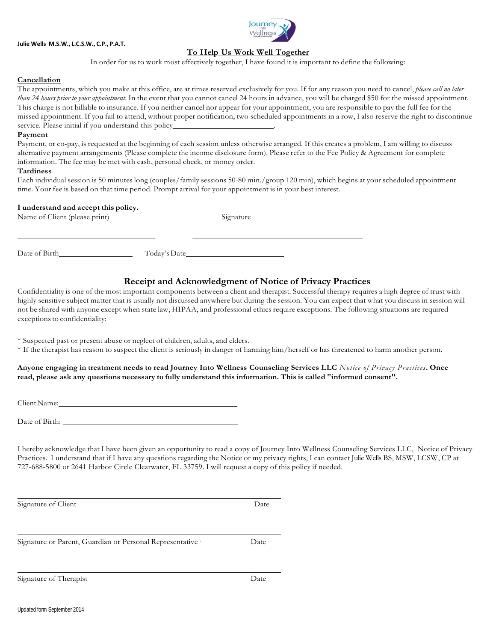



## **To Help Us Work Well Together**

In order for us to work most effectively together, I have found it is important to define the following:

## **Cancellation**

The appointments, which you make at this office, are at times reserved exclusively for you. If for any reason you need to cancel, *please call no later than 24 hours prior to your appointment*. In the event that you cannot cancel 24 hours in advance, you will be charged \$50 for the missed appointment. This charge is not billable to insurance. If you neither cancel nor appear for your appointment, you are responsible to pay the full fee for the missed appointment. If you fail to attend, without proper notification, two scheduled appointments in a row, I also reserve the right to discontinue service. Please initial if you understand this policy\_

#### **Payment**

Payment, or co-pay, is requested at the beginning of each session unless otherwise arranged. If this creates a problem, I am willing to discuss alternative payment arrangements (Please complete the income disclosure form). Please refer to the Fee Policy & Agreement for complete information. The fee may be met with cash, personal check, or money order.

#### **Tardiness**

Each individual session is 50 minutes long (couples/family sessions 50-80 min./group 120 min), which begins at your scheduled appointment time. Your fee is based on that time period. Prompt arrival for your appointment is in your best interest.

#### **I understand and accept this policy.**

Name of Client (please print) Signature

Date of Birth Today's Date

# **Receipt and Acknowledgment of Notice of Privacy Practices**

Confidentiality is one of the most important components between a client and therapist. Successful therapy requires a high degree of trust with highly sensitive subject matter that is usually not discussed anywhere but during the session. You can expect that what you discuss in session will not be shared with anyone except when state law, HIPAA, and professional ethics require exceptions. The following situations are required exceptions to confidentiality:

\* Suspected past or present abuse or neglect of children, adults, and elders.

\* If the therapist has reason to suspect the client is seriously in danger of harming him/herself or has threatened to harm another person.

**Anyone engaging in treatment needs to read Journey Into Wellness Counseling Services LLC** *Notice of Privacy Practices***. Once** read, please ask any questions necessary to fully understand this information. This is called "informed consent".

Client Name:

Date of Birth:

Signature or Parent, Guardian or Personal Representative

I hereby acknowledge that I have been given an opportunity to read a copy of Journey Into Wellness Counseling Services LLC, Notice of Privacy Practices. I understand that if I have any questions regarding the Notice or my privacy rights, I can contact Julie Wells BS, MSW, LCSW, CP at 727-688-5800 or 2641 Harbor Circle Clearwater, FL 33759. I will request a copy of this policy if needed.

Signature of Client Date

<sup>∗</sup> Date

Signature of Therapist Date